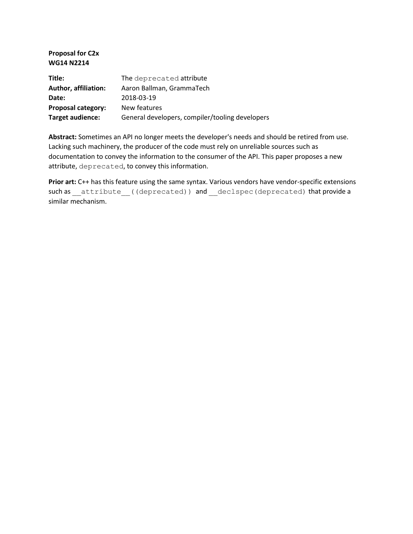**Proposal for C2x WG14 N2214**

| Title:                      | The deprecated attribute                        |
|-----------------------------|-------------------------------------------------|
| <b>Author, affiliation:</b> | Aaron Ballman, GrammaTech                       |
| Date:                       | 2018-03-19                                      |
| Proposal category:          | New features                                    |
| Target audience:            | General developers, compiler/tooling developers |

**Abstract:** Sometimes an API no longer meets the developer's needs and should be retired from use. Lacking such machinery, the producer of the code must rely on unreliable sources such as documentation to convey the information to the consumer of the API. This paper proposes a new attribute, deprecated, to convey this information.

Prior art: C++ has this feature using the same syntax. Various vendors have vendor-specific extensions such as \_\_attribute ((deprecated)) and \_\_declspec(deprecated) that provide a similar mechanism.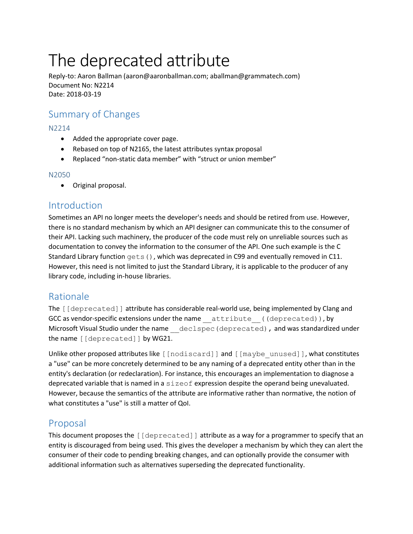# The deprecated attribute

Reply-to: Aaron Ballman (aaron@aaronballman.com; aballman@grammatech.com) Document No: N2214 Date: 2018-03-19

# Summary of Changes

### N2214

- Added the appropriate cover page.
- Rebased on top of N2165, the latest attributes syntax proposal
- Replaced "non-static data member" with "struct or union member"

#### N2050

• Original proposal.

## Introduction

Sometimes an API no longer meets the developer's needs and should be retired from use. However, there is no standard mechanism by which an API designer can communicate this to the consumer of their API. Lacking such machinery, the producer of the code must rely on unreliable sources such as documentation to convey the information to the consumer of the API. One such example is the C Standard Library function gets(), which was deprecated in C99 and eventually removed in C11. However, this need is not limited to just the Standard Library, it is applicable to the producer of any library code, including in-house libraries.

## Rationale

The [[deprecated]] attribute has considerable real-world use, being implemented by Clang and GCC as vendor-specific extensions under the name attribute ((deprecated)), by Microsoft Visual Studio under the name declspec (deprecated), and was standardized under the name [[deprecated]] by WG21.

Unlike other proposed attributes like [[nodiscard]] and [[maybe\_unused]], what constitutes a "use" can be more concretely determined to be any naming of a deprecated entity other than in the entity's declaration (or redeclaration). For instance, this encourages an implementation to diagnose a deprecated variable that is named in a sizeof expression despite the operand being unevaluated. However, because the semantics of the attribute are informative rather than normative, the notion of what constitutes a "use" is still a matter of QoI.

## Proposal

This document proposes the [[deprecated]] attribute as a way for a programmer to specify that an entity is discouraged from being used. This gives the developer a mechanism by which they can alert the consumer of their code to pending breaking changes, and can optionally provide the consumer with additional information such as alternatives superseding the deprecated functionality.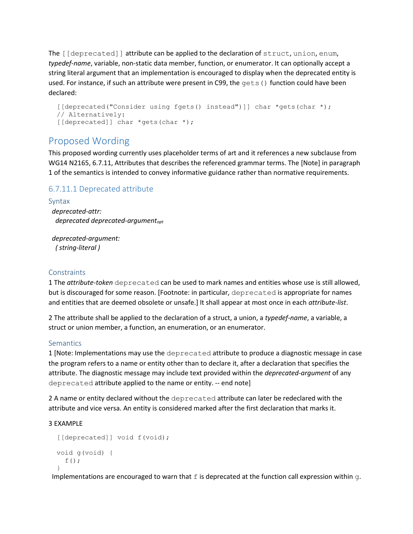The [[deprecated]] attribute can be applied to the declaration of struct, union, enum, *typedef-name*, variable, non-static data member, function, or enumerator. It can optionally accept a string literal argument that an implementation is encouraged to display when the deprecated entity is used. For instance, if such an attribute were present in C99, the gets () function could have been declared:

```
 [[deprecated("Consider using fgets() instead")]] char *gets(char *);
 // Alternatively:
[[deprecated]] char *gets(char *);
```
## Proposed Wording

This proposed wording currently uses placeholder terms of art and it references a new subclause from WG14 N2165, 6.7.11, Attributes that describes the referenced grammar terms. The [Note] in paragraph 1 of the semantics is intended to convey informative guidance rather than normative requirements.

## 6.7.11.1 Deprecated attribute

Syntax  *deprecated-attr: deprecated deprecated-argumentopt*

 *deprecated-argument: ( string-literal )*

#### **Constraints**

1 The *attribute-token* deprecated can be used to mark names and entities whose use is still allowed, but is discouraged for some reason. [Footnote: in particular, deprecated is appropriate for names and entities that are deemed obsolete or unsafe.] It shall appear at most once in each *attribute-list*.

2 The attribute shall be applied to the declaration of a struct, a union, a *typedef-name*, a variable, a struct or union member, a function, an enumeration, or an enumerator.

#### **Semantics**

1 [Note: Implementations may use the deprecated attribute to produce a diagnostic message in case the program refers to a name or entity other than to declare it, after a declaration that specifies the attribute. The diagnostic message may include text provided within the *deprecated-argument* of any deprecated attribute applied to the name or entity. -- end note]

2 A name or entity declared without the deprecated attribute can later be redeclared with the attribute and vice versa. An entity is considered marked after the first declaration that marks it.

#### 3 EXAMPLE

```
[[deprecated]] void f(void);
 void g(void) {
  f();
 }
```
Implementations are encouraged to warn that  $f$  is deprecated at the function call expression within  $g$ .